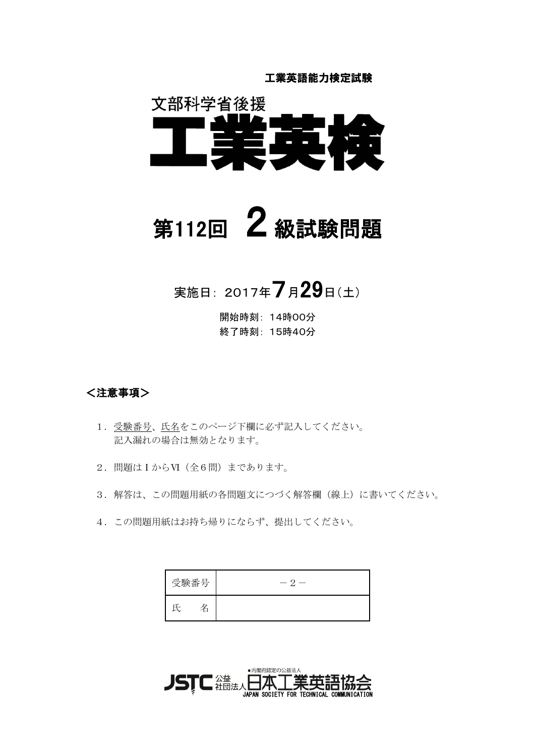工業英語能力検定試験



# 第112回  $2$  級試験問題

実施日: 2017年7月29日(土)

開始時刻: 14時00分 終了時刻: 15時40分

### <注意事項>

- 1. 受験番号、氏名をこのページ下欄に必ず記入してください。 記入漏れの場合は無効となります。
- 2. 問題はIからVI (全6問)まであります。
- 3. 解答は、この問題用紙の各問題文につづく解答欄(線上)に書いてください。
- 4. この問題用紙はお持ち帰りにならず、提出してください。

| 受験番号 | $\sim$ 2 |
|------|----------|
|      |          |

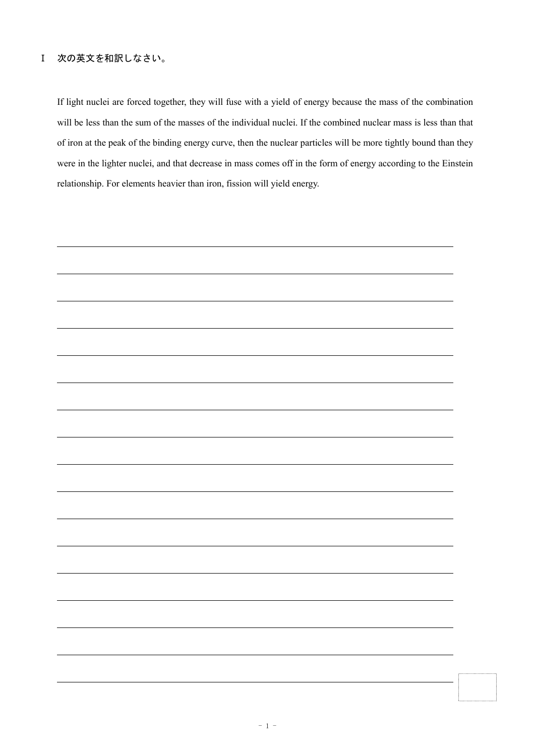#### Ⅰ 次の英文を和訳しなさい。

If light nuclei are forced together, they will fuse with a yield of energy because the mass of the combination will be less than the sum of the masses of the individual nuclei. If the combined nuclear mass is less than that of iron at the peak of the binding energy curve, then the nuclear particles will be more tightly bound than they were in the lighter nuclei, and that decrease in mass comes off in the form of energy according to the Einstein relationship. For elements heavier than iron, fission will yield energy.

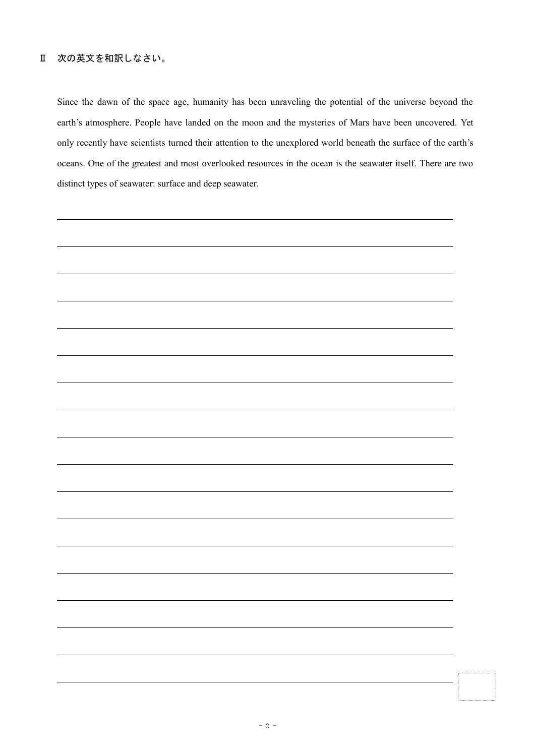#### Ⅱ 次の英文を和訳しなさい。

Since the dawn of the space age, humanity has been unraveling the potential of the universe beyond the earth's atmosphere. People have landed on the moon and the mysteries of Mars have been uncovered. Yet only recently have scientists turned their attention to the unexplored world beneath the surface of the earth's oceans. One of the greatest and most overlooked resources in the ocean is the seawater itself. There are two distinct types of seawater: surface and deep seawater.

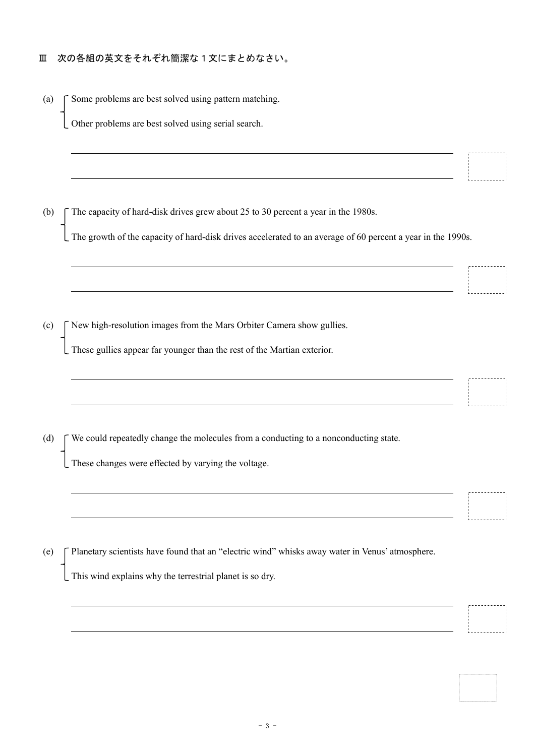#### Ⅲ 次の各組の英文をそれぞれ簡潔な1文にまとめなさい。

(a)  $\Gamma$  Some problems are best solved using pattern matching.

Other problems are best solved using serial search.

(b) The capacity of hard-disk drives grew about 25 to 30 percent a year in the 1980s.

The growth of the capacity of hard-disk drives accelerated to an average of 60 percent a year in the 1990s.

(c)  $\int$  New high-resolution images from the Mars Orbiter Camera show gullies.

These gullies appear far younger than the rest of the Martian exterior.

(d)  $\Gamma$  We could repeatedly change the molecules from a conducting to a nonconducting state.

These changes were effected by varying the voltage.

(e) Planetary scientists have found that an "electric wind" whisks away water in Venus' atmosphere.

This wind explains why the terrestrial planet is so dry.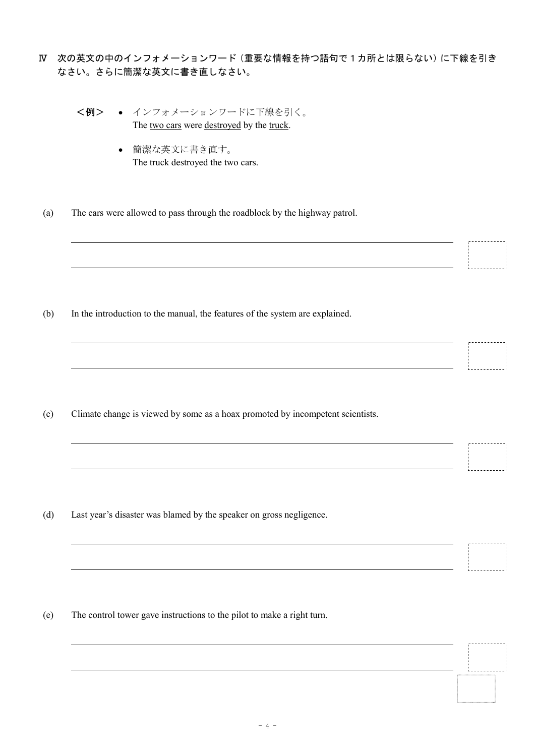- Ⅳ 次の英文の中のインフォメーションワード(重要な情報を持つ語句で1カ所とは限らない)に下線を引き なさい。さらに簡潔な英文に書き直しなさい。
	- <例> インフォメーションワードに下線を引く。 The two cars were destroyed by the truck.
		- 簡潔な英文に書き直す。 The truck destroyed the two cars.
	- (a) The cars were allowed to pass through the roadblock by the highway patrol.

(b) In the introduction to the manual, the features of the system are explained.

(c) Climate change is viewed by some as a hoax promoted by incompetent scientists.

(d) Last year's disaster was blamed by the speaker on gross negligence.

(e) The control tower gave instructions to the pilot to make a right turn.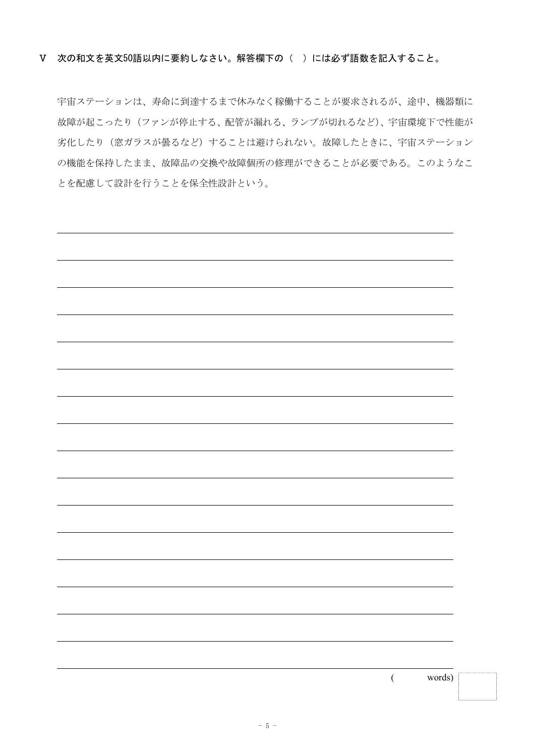宇宙ステーションは、寿命に到達するまで休みなく稼働することが要求されるが、途中、機器類に 故障が起こったり(ファンが停止する、配管が漏れる、ランプが切れるなど)、宇宙環境下で性能が 劣化したり (窓ガラスが曇るなど) することは避けられない。故障したときに、宇宙ステーション の機能を保持したまま、故障品の交換や故障個所の修理ができることが必要である。このようなこ とを配慮して設計を行うことを保全性設計という。

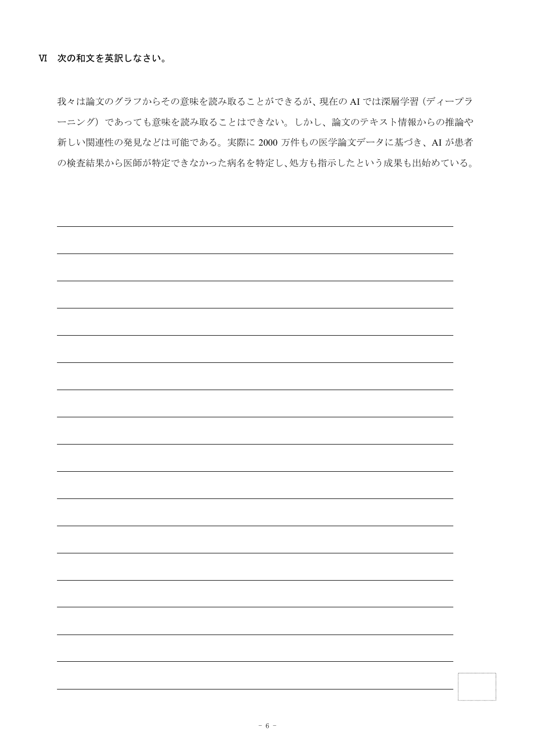我々は論文のグラフからその意味を読み取ることができるが、現在の AI では深層学習(ディープラ ーニング)であっても意味を読み取ることはできない。しかし、論文のテキスト情報からの推論や 新しい関連性の発見などは可能である。実際に 2000 万件もの医学論文データに基づき、AI が患者 の検査結果から医師が特定できなかった病名を特定し、処方も指示したという成果も出始めている。